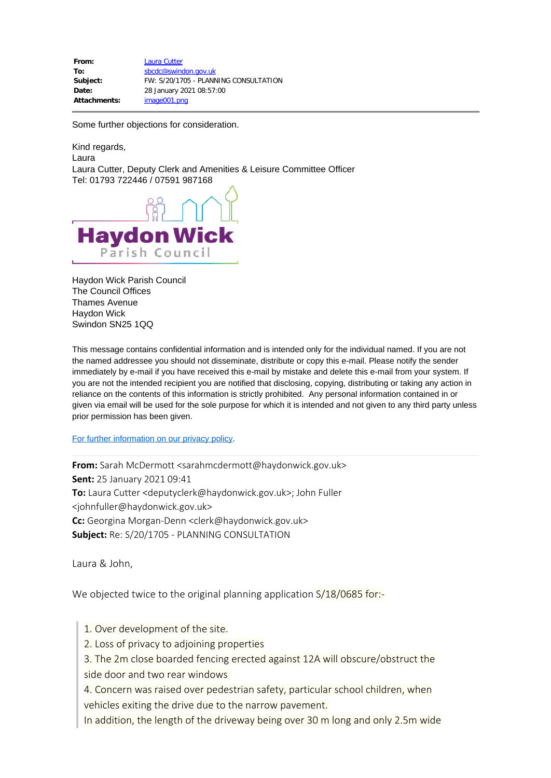| From:               | Laura Cutter                          |
|---------------------|---------------------------------------|
| To:                 | sbcdc@swindon.gov.uk                  |
| Subject:            | FW: S/20/1705 - PLANNING CONSULTATION |
| Date:               | 28 January 2021 08:57:00              |
| <b>Attachments:</b> | image001.png                          |

Some further objections for consideration.

Kind regards, Laura Laura Cutter, Deputy Clerk and Amenities & Leisure Committee Officer Tel: 01793 722446 / 07591 987168



Haydon Wick Parish Council The Council Offices Thames Avenue Haydon Wick Swindon SN25 1QQ

This message contains confidential information and is intended only for the individual named. If you are not the named addressee you should not disseminate, distribute or copy this e-mail. Please notify the sender immediately by e-mail if you have received this e-mail by mistake and delete this e-mail from your system. If you are not the intended recipient you are notified that disclosing, copying, distributing or taking any action in reliance on the contents of this information is strictly prohibited. Any personal information contained in or given via email will be used for the sole purpose for which it is intended and not given to any third party unless prior permission has been given.

[For further information on our privacy policy](https://www.haydonwick.gov.uk/wp-content/uploads/your-council/data-protetcion-privacy-statement/Privacy-notice.pdf).

**From:** Sarah McDermott <sarahmcdermott@haydonwick.gov.uk> **Sent:** 25 January 2021 09:41 **To:** Laura Cutter <deputyclerk@haydonwick.gov.uk>; John Fuller <johnfuller@haydonwick.gov.uk> **Cc:** Georgina Morgan-Denn <clerk@haydonwick.gov.uk> **Subject:** Re: S/20/1705 - PLANNING CONSULTATION

Laura & John,

We objected twice to the original planning application S/18/0685 for:-

- 1. Over development of the site.
- 2. Loss of privacy to adjoining properties

3. The 2m close boarded fencing erected against 12A will obscure/obstruct the side door and two rear windows

4. Concern was raised over pedestrian safety, particular school children, when vehicles exiting the drive due to the narrow pavement.

In addition, the length of the driveway being over 30 m long and only 2.5m wide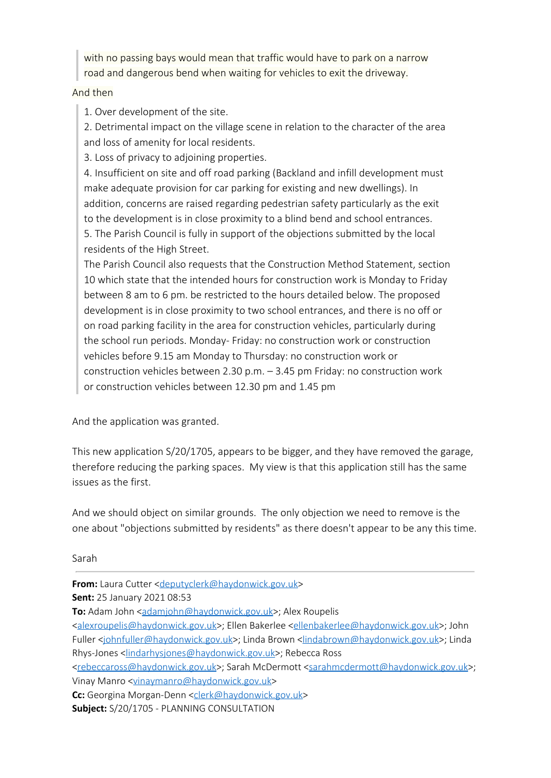with no passing bays would mean that traffic would have to park on a narrow road and dangerous bend when waiting for vehicles to exit the driveway.

## And then

1. Over development of the site.

2. Detrimental impact on the village scene in relation to the character of the area and loss of amenity for local residents.

3. Loss of privacy to adjoining properties.

4. Insufficient on site and off road parking (Backland and infill development must make adequate provision for car parking for existing and new dwellings). In addition, concerns are raised regarding pedestrian safety particularly as the exit to the development is in close proximity to a blind bend and school entrances. 5. The Parish Council is fully in support of the objections submitted by the local residents of the High Street.

The Parish Council also requests that the Construction Method Statement, section 10 which state that the intended hours for construction work is Monday to Friday between 8 am to 6 pm. be restricted to the hours detailed below. The proposed development is in close proximity to two school entrances, and there is no off or on road parking facility in the area for construction vehicles, particularly during the school run periods. Monday- Friday: no construction work or construction vehicles before 9.15 am Monday to Thursday: no construction work or construction vehicles between 2.30 p.m. – 3.45 pm Friday: no construction work or construction vehicles between 12.30 pm and 1.45 pm

And the application was granted.

This new application S/20/1705, appears to be bigger, and they have removed the garage, therefore reducing the parking spaces. My view is that this application still has the same issues as the first.

And we should object on similar grounds. The only objection we need to remove is the one about "objections submitted by residents" as there doesn't appear to be any this time.

Sarah

**From:** Laura Cutter [<deputyclerk@haydonwick.gov.uk](mailto:deputyclerk@haydonwick.gov.uk)> **Sent:** 25 January 2021 08:53 **To:** Adam John [<adamjohn@haydonwick.gov.uk](mailto:adamjohn@haydonwick.gov.uk)>; Alex Roupelis [<alexroupelis@haydonwick.gov.uk](mailto:alexroupelis@haydonwick.gov.uk)>; Ellen Bakerlee [<ellenbakerlee@haydonwick.gov.uk](mailto:ellenbakerlee@haydonwick.gov.uk)>; John Fuller [<johnfuller@haydonwick.gov.uk](mailto:johnfuller@haydonwick.gov.uk)>; Linda Brown [<lindabrown@haydonwick.gov.uk](mailto:lindabrown@haydonwick.gov.uk)>; Linda Rhys-Jones <[lindarhysjones@haydonwick.gov.uk](mailto:lindarhysjones@haydonwick.gov.uk)>; Rebecca Ross [<rebeccaross@haydonwick.gov.uk](mailto:rebeccaross@haydonwick.gov.uk)>; Sarah McDermott <[sarahmcdermott@haydonwick.gov.uk>](mailto:sarahmcdermott@haydonwick.gov.uk); Vinay Manro [<vinaymanro@haydonwick.gov.uk](mailto:vinaymanro@haydonwick.gov.uk)> **Cc:** Georgina Morgan-Denn [<clerk@haydonwick.gov.uk](mailto:clerk@haydonwick.gov.uk)> **Subject:** S/20/1705 - PLANNING CONSULTATION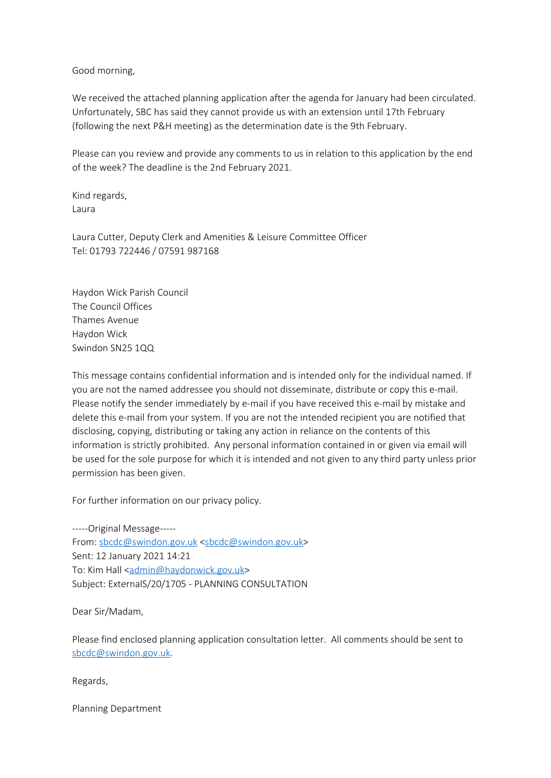Good morning,

We received the attached planning application after the agenda for January had been circulated. Unfortunately, SBC has said they cannot provide us with an extension until 17th February (following the next P&H meeting) as the determination date is the 9th February.

Please can you review and provide any comments to us in relation to this application by the end of the week? The deadline is the 2nd February 2021.

Kind regards, Laura

Laura Cutter, Deputy Clerk and Amenities & Leisure Committee Officer Tel: 01793 722446 / 07591 987168

Haydon Wick Parish Council The Council Offices Thames Avenue Haydon Wick Swindon SN25 1QQ

This message contains confidential information and is intended only for the individual named. If you are not the named addressee you should not disseminate, distribute or copy this e-mail. Please notify the sender immediately by e-mail if you have received this e-mail by mistake and delete this e-mail from your system. If you are not the intended recipient you are notified that disclosing, copying, distributing or taking any action in reliance on the contents of this information is strictly prohibited. Any personal information contained in or given via email will be used for the sole purpose for which it is intended and not given to any third party unless prior permission has been given.

For further information on our privacy policy.

-----Original Message----- From: [sbcdc@swindon.gov.uk](mailto:sbcdc@swindon.gov.uk) [<sbcdc@swindon.gov.uk](mailto:sbcdc@swindon.gov.uk)> Sent: 12 January 2021 14:21 To: Kim Hall <[admin@haydonwick.gov.uk>](mailto:admin@haydonwick.gov.uk) Subject: ExternalS/20/1705 - PLANNING CONSULTATION

Dear Sir/Madam,

Please find enclosed planning application consultation letter. All comments should be sent to [sbcdc@swindon.gov.uk](mailto:sbcdc@swindon.gov.uk).

Regards,

Planning Department